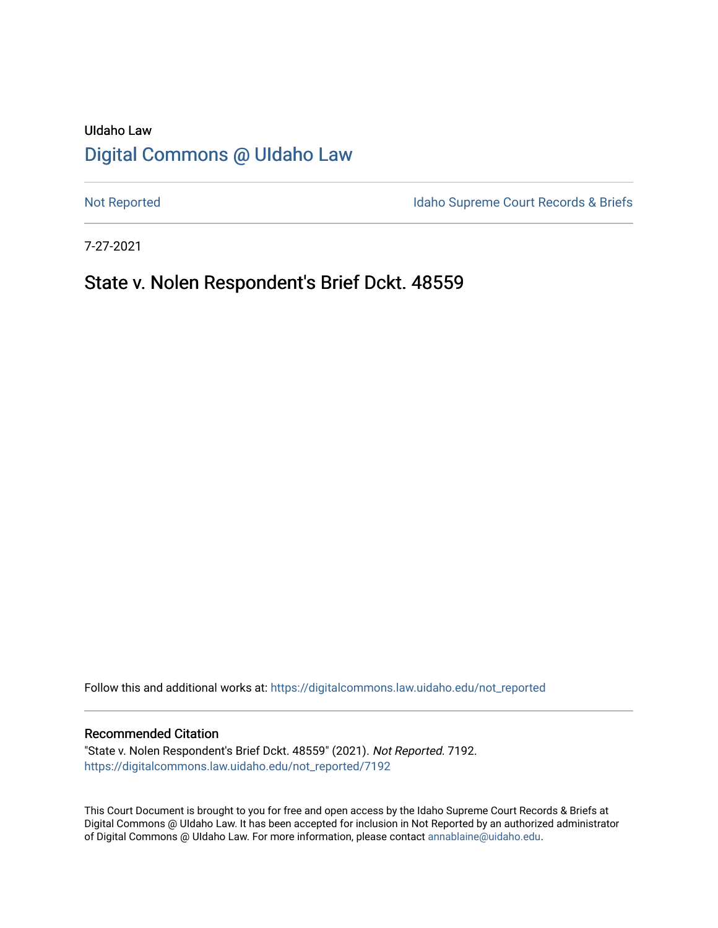# UIdaho Law [Digital Commons @ UIdaho Law](https://digitalcommons.law.uidaho.edu/)

[Not Reported](https://digitalcommons.law.uidaho.edu/not_reported) **Idaho Supreme Court Records & Briefs** 

7-27-2021

## State v. Nolen Respondent's Brief Dckt. 48559

Follow this and additional works at: [https://digitalcommons.law.uidaho.edu/not\\_reported](https://digitalcommons.law.uidaho.edu/not_reported?utm_source=digitalcommons.law.uidaho.edu%2Fnot_reported%2F7192&utm_medium=PDF&utm_campaign=PDFCoverPages) 

#### Recommended Citation

"State v. Nolen Respondent's Brief Dckt. 48559" (2021). Not Reported. 7192. [https://digitalcommons.law.uidaho.edu/not\\_reported/7192](https://digitalcommons.law.uidaho.edu/not_reported/7192?utm_source=digitalcommons.law.uidaho.edu%2Fnot_reported%2F7192&utm_medium=PDF&utm_campaign=PDFCoverPages)

This Court Document is brought to you for free and open access by the Idaho Supreme Court Records & Briefs at Digital Commons @ UIdaho Law. It has been accepted for inclusion in Not Reported by an authorized administrator of Digital Commons @ UIdaho Law. For more information, please contact [annablaine@uidaho.edu](mailto:annablaine@uidaho.edu).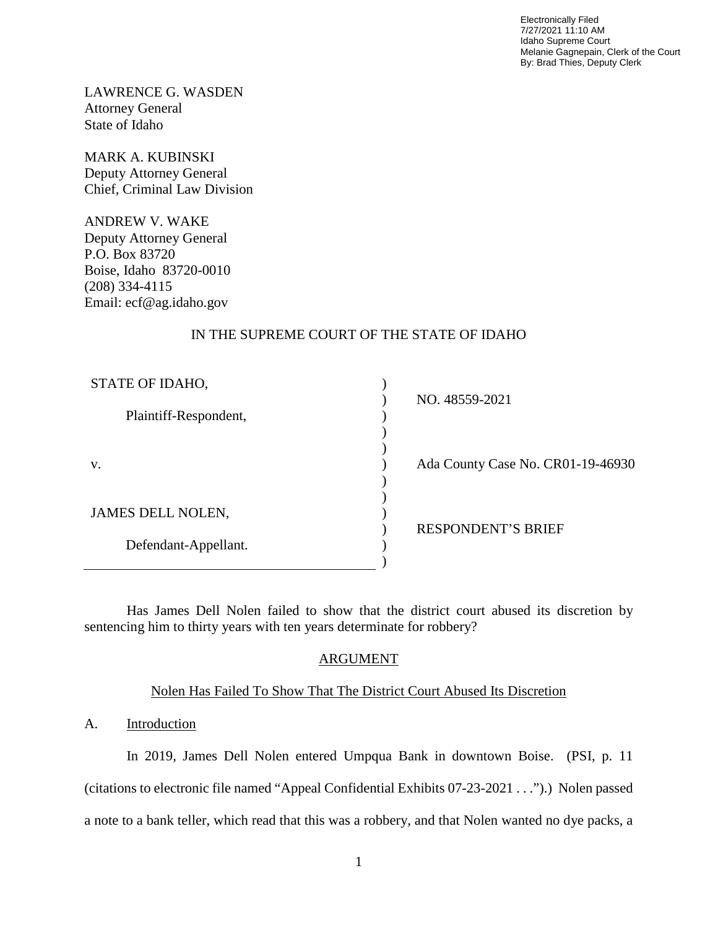Electronically Filed 7/27/2021 11:10 AM Idaho Supreme Court Melanie Gagnepain, Clerk of the Court By: Brad Thies, Deputy Clerk

LAWRENCE G. WASDEN Attorney General State of Idaho

MARK A. KUBINSKI Deputy Attorney General Chief, Criminal Law Division

ANDREW V. WAKE Deputy Attorney General P.O. Box 83720 Boise, Idaho 83720-0010 (208) 334-4115 Email: ecf@ag.idaho.gov

## IN THE SUPREME COURT OF THE STATE OF IDAHO

| STATE OF IDAHO,       |                                   |
|-----------------------|-----------------------------------|
|                       | NO. 48559-2021                    |
| Plaintiff-Respondent, |                                   |
|                       |                                   |
|                       |                                   |
| V.                    | Ada County Case No. CR01-19-46930 |
|                       |                                   |
|                       |                                   |
| JAMES DELL NOLEN,     |                                   |
|                       | <b>RESPONDENT'S BRIEF</b>         |
| Defendant-Appellant.  |                                   |
|                       |                                   |

Has James Dell Nolen failed to show that the district court abused its discretion by sentencing him to thirty years with ten years determinate for robbery?

## ARGUMENT

### Nolen Has Failed To Show That The District Court Abused Its Discretion

## A. Introduction

In 2019, James Dell Nolen entered Umpqua Bank in downtown Boise. (PSI, p. 11 (citations to electronic file named "Appeal Confidential Exhibits 07-23-2021 . . .").) Nolen passed a note to a bank teller, which read that this was a robbery, and that Nolen wanted no dye packs, a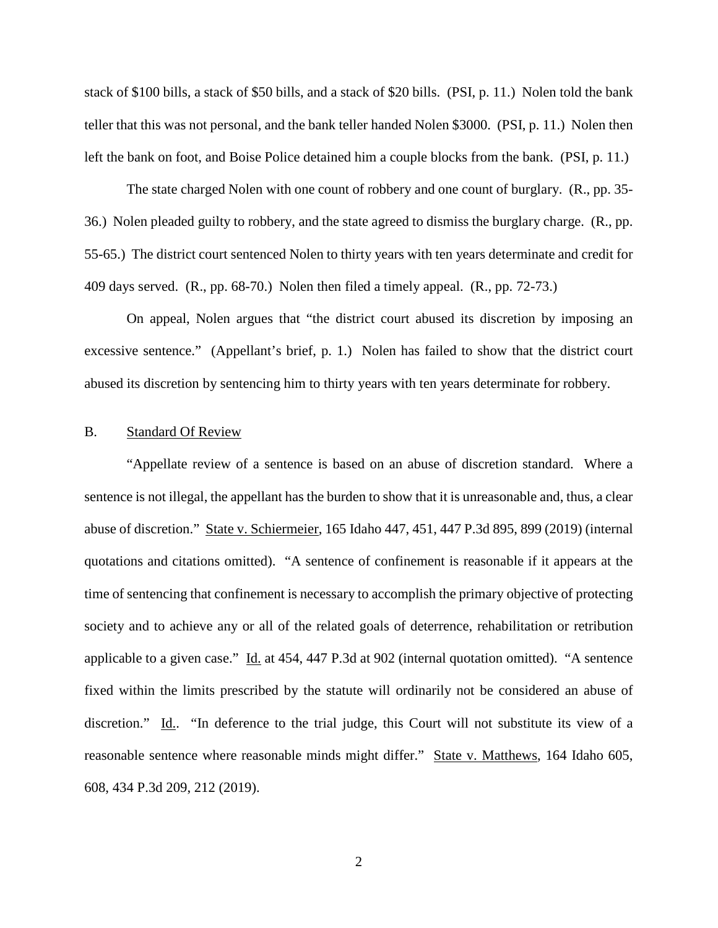stack of \$100 bills, a stack of \$50 bills, and a stack of \$20 bills. (PSI, p. 11.) Nolen told the bank teller that this was not personal, and the bank teller handed Nolen \$3000. (PSI, p. 11.) Nolen then left the bank on foot, and Boise Police detained him a couple blocks from the bank. (PSI, p. 11.)

The state charged Nolen with one count of robbery and one count of burglary. (R., pp. 35- 36.) Nolen pleaded guilty to robbery, and the state agreed to dismiss the burglary charge. (R., pp. 55-65.) The district court sentenced Nolen to thirty years with ten years determinate and credit for 409 days served. (R., pp. 68-70.) Nolen then filed a timely appeal. (R., pp. 72-73.)

On appeal, Nolen argues that "the district court abused its discretion by imposing an excessive sentence." (Appellant's brief, p. 1.) Nolen has failed to show that the district court abused its discretion by sentencing him to thirty years with ten years determinate for robbery.

## B. Standard Of Review

"Appellate review of a sentence is based on an abuse of discretion standard. Where a sentence is not illegal, the appellant has the burden to show that it is unreasonable and, thus, a clear abuse of discretion." State v. Schiermeier, 165 Idaho 447, 451, 447 P.3d 895, 899 (2019) (internal quotations and citations omitted). "A sentence of confinement is reasonable if it appears at the time of sentencing that confinement is necessary to accomplish the primary objective of protecting society and to achieve any or all of the related goals of deterrence, rehabilitation or retribution applicable to a given case." Id. at 454, 447 P.3d at 902 (internal quotation omitted). "A sentence fixed within the limits prescribed by the statute will ordinarily not be considered an abuse of discretion." Id.. "In deference to the trial judge, this Court will not substitute its view of a reasonable sentence where reasonable minds might differ." State v. Matthews, 164 Idaho 605, 608, 434 P.3d 209, 212 (2019).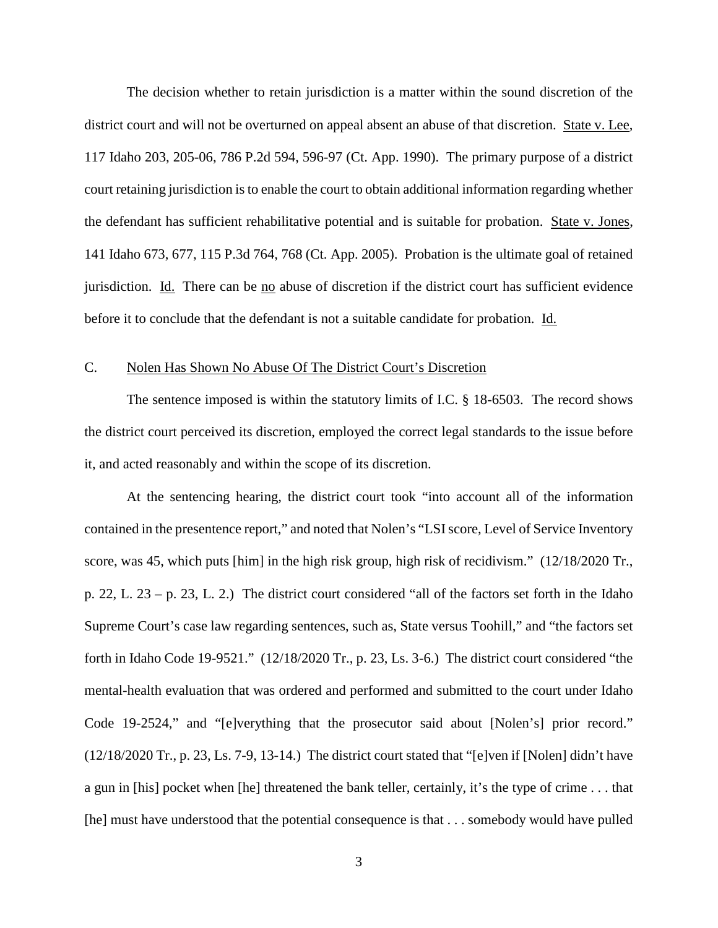The decision whether to retain jurisdiction is a matter within the sound discretion of the district court and will not be overturned on appeal absent an abuse of that discretion. State v. Lee, 117 Idaho 203, 205-06, 786 P.2d 594, 596-97 (Ct. App. 1990). The primary purpose of a district court retaining jurisdiction is to enable the court to obtain additional information regarding whether the defendant has sufficient rehabilitative potential and is suitable for probation. State v. Jones, 141 Idaho 673, 677, 115 P.3d 764, 768 (Ct. App. 2005). Probation is the ultimate goal of retained jurisdiction. Id. There can be no abuse of discretion if the district court has sufficient evidence before it to conclude that the defendant is not a suitable candidate for probation. Id.

### C. Nolen Has Shown No Abuse Of The District Court's Discretion

The sentence imposed is within the statutory limits of I.C. § 18-6503. The record shows the district court perceived its discretion, employed the correct legal standards to the issue before it, and acted reasonably and within the scope of its discretion.

At the sentencing hearing, the district court took "into account all of the information contained in the presentence report," and noted that Nolen's "LSI score, Level of Service Inventory score, was 45, which puts [him] in the high risk group, high risk of recidivism." (12/18/2020 Tr., p. 22, L. 23 – p. 23, L. 2.) The district court considered "all of the factors set forth in the Idaho Supreme Court's case law regarding sentences, such as, State versus Toohill," and "the factors set forth in Idaho Code 19-9521." (12/18/2020 Tr., p. 23, Ls. 3-6.) The district court considered "the mental-health evaluation that was ordered and performed and submitted to the court under Idaho Code 19-2524," and "[e]verything that the prosecutor said about [Nolen's] prior record." (12/18/2020 Tr., p. 23, Ls. 7-9, 13-14.) The district court stated that "[e]ven if [Nolen] didn't have a gun in [his] pocket when [he] threatened the bank teller, certainly, it's the type of crime . . . that [he] must have understood that the potential consequence is that . . . somebody would have pulled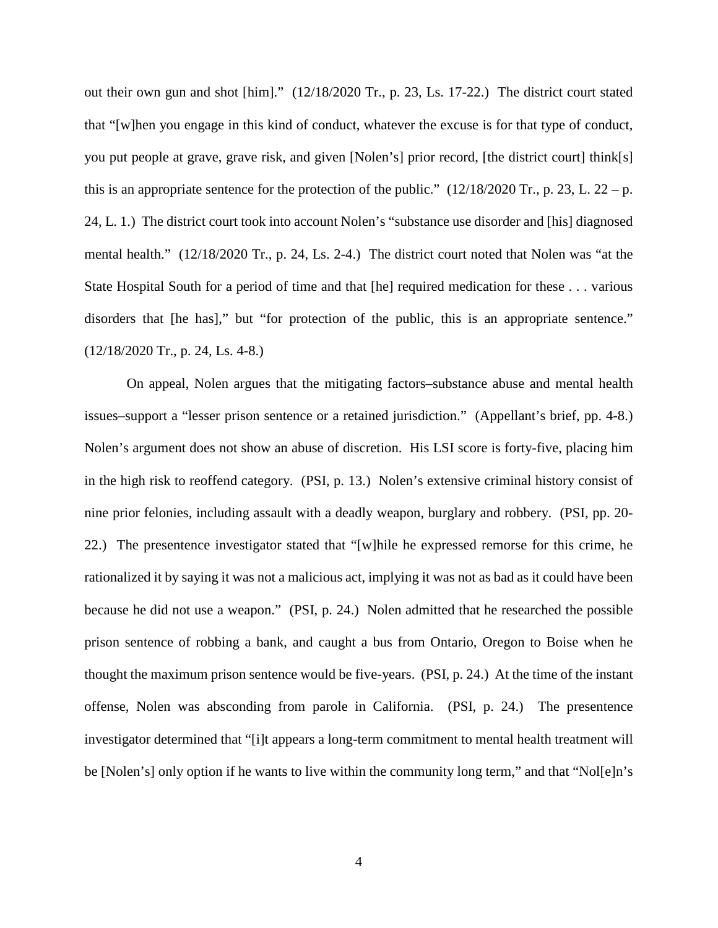out their own gun and shot [him]." (12/18/2020 Tr., p. 23, Ls. 17-22.) The district court stated that "[w]hen you engage in this kind of conduct, whatever the excuse is for that type of conduct, you put people at grave, grave risk, and given [Nolen's] prior record, [the district court] think[s] this is an appropriate sentence for the protection of the public."  $(12/18/2020 \text{ Tr.}, p. 23, L. 22 - p.$ 24, L. 1.) The district court took into account Nolen's "substance use disorder and [his] diagnosed mental health." (12/18/2020 Tr., p. 24, Ls. 2-4.) The district court noted that Nolen was "at the State Hospital South for a period of time and that [he] required medication for these . . . various disorders that [he has]," but "for protection of the public, this is an appropriate sentence." (12/18/2020 Tr., p. 24, Ls. 4-8.)

On appeal, Nolen argues that the mitigating factors–substance abuse and mental health issues–support a "lesser prison sentence or a retained jurisdiction." (Appellant's brief, pp. 4-8.) Nolen's argument does not show an abuse of discretion. His LSI score is forty-five, placing him in the high risk to reoffend category. (PSI, p. 13.) Nolen's extensive criminal history consist of nine prior felonies, including assault with a deadly weapon, burglary and robbery. (PSI, pp. 20- 22.) The presentence investigator stated that "[w]hile he expressed remorse for this crime, he rationalized it by saying it was not a malicious act, implying it was not as bad as it could have been because he did not use a weapon." (PSI, p. 24.) Nolen admitted that he researched the possible prison sentence of robbing a bank, and caught a bus from Ontario, Oregon to Boise when he thought the maximum prison sentence would be five-years. (PSI, p. 24.) At the time of the instant offense, Nolen was absconding from parole in California. (PSI, p. 24.) The presentence investigator determined that "[i]t appears a long-term commitment to mental health treatment will be [Nolen's] only option if he wants to live within the community long term," and that "Nol[e]n's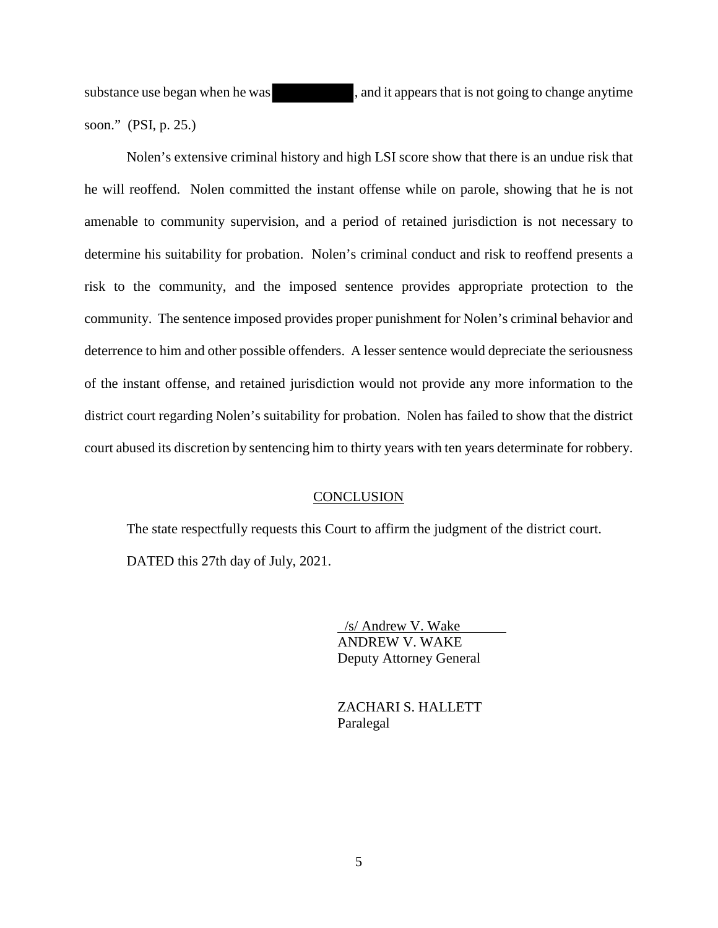substance use began when he was , and it appears that is not going to change anytime soon." (PSI, p. 25.)

Nolen's extensive criminal history and high LSI score show that there is an undue risk that he will reoffend. Nolen committed the instant offense while on parole, showing that he is not amenable to community supervision, and a period of retained jurisdiction is not necessary to determine his suitability for probation. Nolen's criminal conduct and risk to reoffend presents a risk to the community, and the imposed sentence provides appropriate protection to the community. The sentence imposed provides proper punishment for Nolen's criminal behavior and deterrence to him and other possible offenders. A lesser sentence would depreciate the seriousness of the instant offense, and retained jurisdiction would not provide any more information to the district court regarding Nolen's suitability for probation. Nolen has failed to show that the district court abused its discretion by sentencing him to thirty years with ten years determinate for robbery.

### **CONCLUSION**

The state respectfully requests this Court to affirm the judgment of the district court.

DATED this 27th day of July, 2021.

 /s/ Andrew V. Wake ANDREW V. WAKE Deputy Attorney General

 ZACHARI S. HALLETT Paralegal